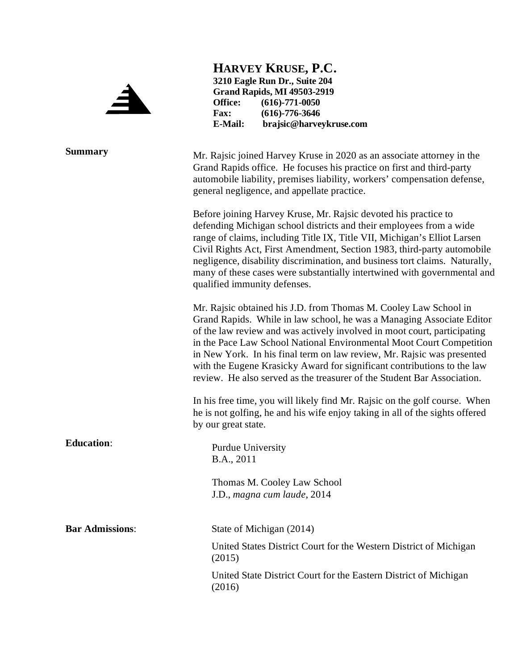

**HARVEY KRUSE, P.C. 3210 Eagle Run Dr., Suite 204 Grand Rapids, MI 49503-2919 Office:** (616)-771-0050<br>Fax: (616)-776-3646 **Fax: (616)-776-3646 E-Mail: brajsic@harveykruse.com**

**Summary** Mr. Rajsic joined Harvey Kruse in 2020 as an associate attorney in the Grand Rapids office. He focuses his practice on first and third-party automobile liability, premises liability, workers' compensation defense, general negligence, and appellate practice. Before joining Harvey Kruse, Mr. Rajsic devoted his practice to defending Michigan school districts and their employees from a wide range of claims, including Title IX, Title VII, Michigan's Elliot Larsen Civil Rights Act, First Amendment, Section 1983, third-party automobile negligence, disability discrimination, and business tort claims. Naturally, many of these cases were substantially intertwined with governmental and qualified immunity defenses. Mr. Rajsic obtained his J.D. from Thomas M. Cooley Law School in

Grand Rapids. While in law school, he was a Managing Associate Editor of the law review and was actively involved in moot court, participating in the Pace Law School National Environmental Moot Court Competition in New York. In his final term on law review, Mr. Rajsic was presented with the Eugene Krasicky Award for significant contributions to the law review. He also served as the treasurer of the Student Bar Association.

In his free time, you will likely find Mr. Rajsic on the golf course. When he is not golfing, he and his wife enjoy taking in all of the sights offered by our great state.

**Education:** Purdue University B.A., 2011

> Thomas M. Cooley Law School J.D., *magna cum laude*, 2014

**Bar Admissions:** State of Michigan (2014)

United States District Court for the Western District of Michigan (2015)

United State District Court for the Eastern District of Michigan (2016)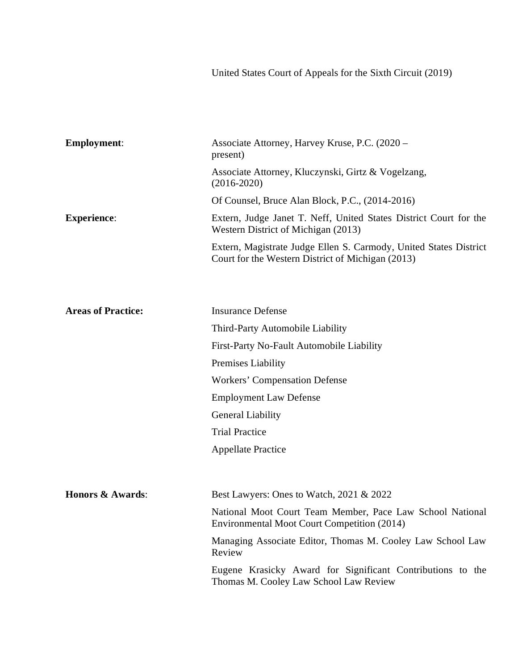United States Court of Appeals for the Sixth Circuit (2019)

| <b>Employment:</b>        | Associate Attorney, Harvey Kruse, P.C. (2020 –<br>present)                                                             |
|---------------------------|------------------------------------------------------------------------------------------------------------------------|
|                           | Associate Attorney, Kluczynski, Girtz & Vogelzang,<br>$(2016 - 2020)$                                                  |
|                           | Of Counsel, Bruce Alan Block, P.C., (2014-2016)                                                                        |
| <b>Experience:</b>        | Extern, Judge Janet T. Neff, United States District Court for the<br>Western District of Michigan (2013)               |
|                           | Extern, Magistrate Judge Ellen S. Carmody, United States District<br>Court for the Western District of Michigan (2013) |
|                           |                                                                                                                        |
| <b>Areas of Practice:</b> | <b>Insurance Defense</b>                                                                                               |
|                           | Third-Party Automobile Liability                                                                                       |
|                           | First-Party No-Fault Automobile Liability                                                                              |
|                           | Premises Liability                                                                                                     |
|                           | <b>Workers' Compensation Defense</b>                                                                                   |
|                           | <b>Employment Law Defense</b>                                                                                          |
|                           | <b>General Liability</b>                                                                                               |
|                           | <b>Trial Practice</b>                                                                                                  |
|                           | <b>Appellate Practice</b>                                                                                              |
| Honors & Awards:          | Best Lawyers: Ones to Watch, 2021 & 2022                                                                               |
|                           | National Moot Court Team Member, Pace Law School National<br>Environmental Moot Court Competition (2014)               |
|                           | Managing Associate Editor, Thomas M. Cooley Law School Law<br>Review                                                   |
|                           | Eugene Krasicky Award for Significant Contributions to the<br>Thomas M. Cooley Law School Law Review                   |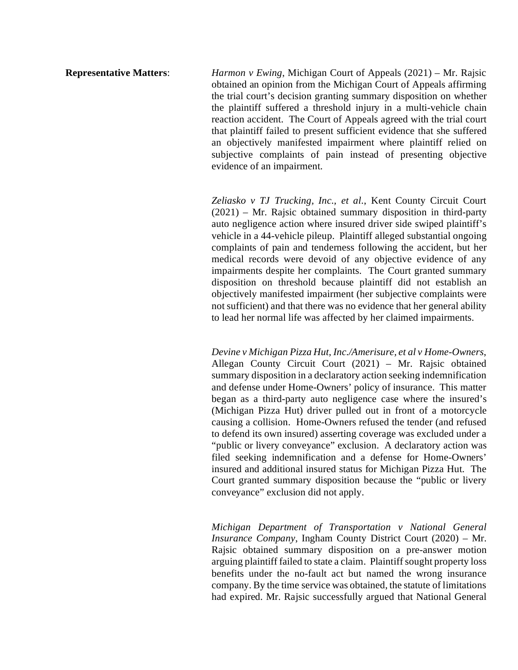**Representative Matters**: *Harmon v Ewing*, Michigan Court of Appeals (2021) – Mr. Rajsic obtained an opinion from the Michigan Court of Appeals affirming the trial court's decision granting summary disposition on whether the plaintiff suffered a threshold injury in a multi-vehicle chain reaction accident. The Court of Appeals agreed with the trial court that plaintiff failed to present sufficient evidence that she suffered an objectively manifested impairment where plaintiff relied on subjective complaints of pain instead of presenting objective evidence of an impairment.

> *Zeliasko v TJ Trucking, Inc., et al.*, Kent County Circuit Court (2021) *–* Mr. Rajsic obtained summary disposition in third-party auto negligence action where insured driver side swiped plaintiff's vehicle in a 44-vehicle pileup. Plaintiff alleged substantial ongoing complaints of pain and tenderness following the accident, but her medical records were devoid of any objective evidence of any impairments despite her complaints. The Court granted summary disposition on threshold because plaintiff did not establish an objectively manifested impairment (her subjective complaints were not sufficient) and that there was no evidence that her general ability to lead her normal life was affected by her claimed impairments.

> *Devine v Michigan Pizza Hut, Inc./Amerisure, et al v Home-Owners*, Allegan County Circuit Court (2021) *–* Mr. Rajsic obtained summary disposition in a declaratory action seeking indemnification and defense under Home-Owners' policy of insurance. This matter began as a third-party auto negligence case where the insured's (Michigan Pizza Hut) driver pulled out in front of a motorcycle causing a collision. Home-Owners refused the tender (and refused to defend its own insured) asserting coverage was excluded under a "public or livery conveyance" exclusion. A declaratory action was filed seeking indemnification and a defense for Home-Owners' insured and additional insured status for Michigan Pizza Hut. The Court granted summary disposition because the "public or livery conveyance" exclusion did not apply.

> *Michigan Department of Transportation v National General Insurance Company*, Ingham County District Court (2020) – Mr. Rajsic obtained summary disposition on a pre-answer motion arguing plaintiff failed to state a claim. Plaintiff sought property loss benefits under the no-fault act but named the wrong insurance company. By the time service was obtained, the statute of limitations had expired. Mr. Rajsic successfully argued that National General